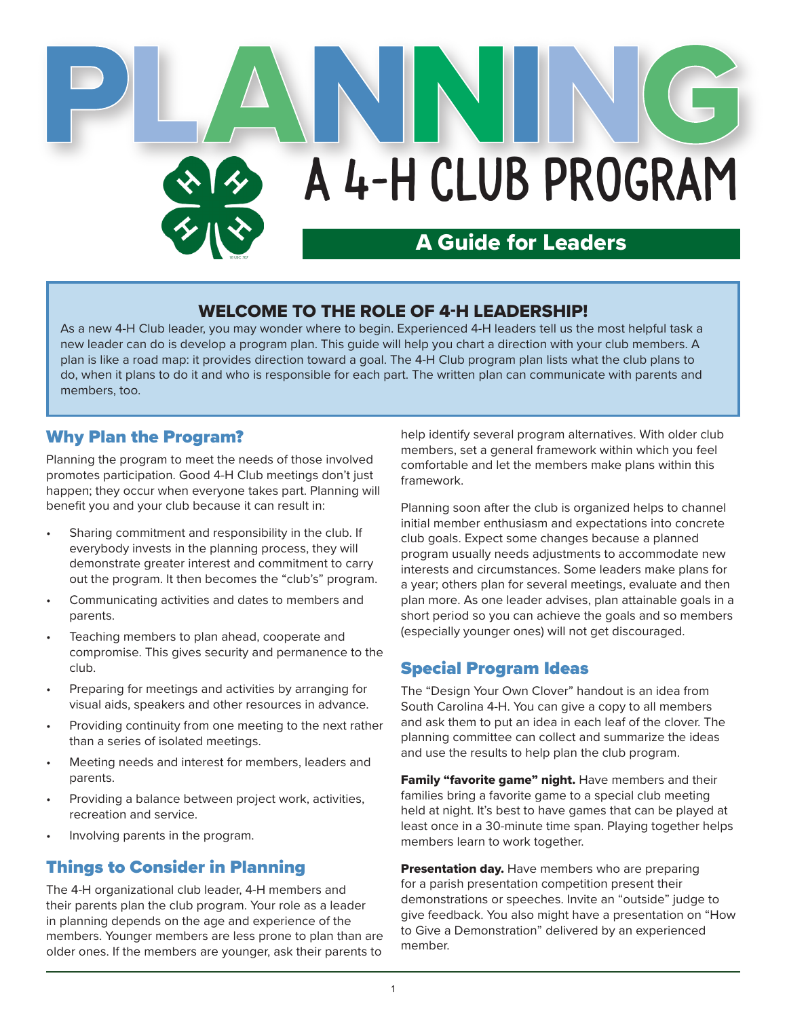

### WELCOME TO THE ROLE OF 4-H LEADERSHIP!

As a new 4-H Club leader, you may wonder where to begin. Experienced 4-H leaders tell us the most helpful task a new leader can do is develop a program plan. This guide will help you chart a direction with your club members. A plan is like a road map: it provides direction toward a goal. The 4-H Club program plan lists what the club plans to do, when it plans to do it and who is responsible for each part. The written plan can communicate with parents and members, too.

### Why Plan the Program?

Planning the program to meet the needs of those involved promotes participation. Good 4-H Club meetings don't just happen; they occur when everyone takes part. Planning will benefit you and your club because it can result in:

- Sharing commitment and responsibility in the club. If everybody invests in the planning process, they will demonstrate greater interest and commitment to carry out the program. It then becomes the "club's" program.
- Communicating activities and dates to members and parents.
- Teaching members to plan ahead, cooperate and compromise. This gives security and permanence to the club.
- Preparing for meetings and activities by arranging for visual aids, speakers and other resources in advance.
- Providing continuity from one meeting to the next rather than a series of isolated meetings.
- Meeting needs and interest for members, leaders and parents.
- Providing a balance between project work, activities, recreation and service.
- Involving parents in the program.

# Things to Consider in Planning

The 4-H organizational club leader, 4-H members and their parents plan the club program. Your role as a leader in planning depends on the age and experience of the members. Younger members are less prone to plan than are older ones. If the members are younger, ask their parents to

help identify several program alternatives. With older club members, set a general framework within which you feel comfortable and let the members make plans within this framework.

Planning soon after the club is organized helps to channel initial member enthusiasm and expectations into concrete club goals. Expect some changes because a planned program usually needs adjustments to accommodate new interests and circumstances. Some leaders make plans for a year; others plan for several meetings, evaluate and then plan more. As one leader advises, plan attainable goals in a short period so you can achieve the goals and so members (especially younger ones) will not get discouraged.

## Special Program Ideas

The "Design Your Own Clover" handout is an idea from South Carolina 4-H. You can give a copy to all members and ask them to put an idea in each leaf of the clover. The planning committee can collect and summarize the ideas and use the results to help plan the club program.

Family "favorite game" night. Have members and their families bring a favorite game to a special club meeting held at night. It's best to have games that can be played at least once in a 30-minute time span. Playing together helps members learn to work together.

Presentation day. Have members who are preparing for a parish presentation competition present their demonstrations or speeches. Invite an "outside" judge to give feedback. You also might have a presentation on "How to Give a Demonstration" delivered by an experienced member.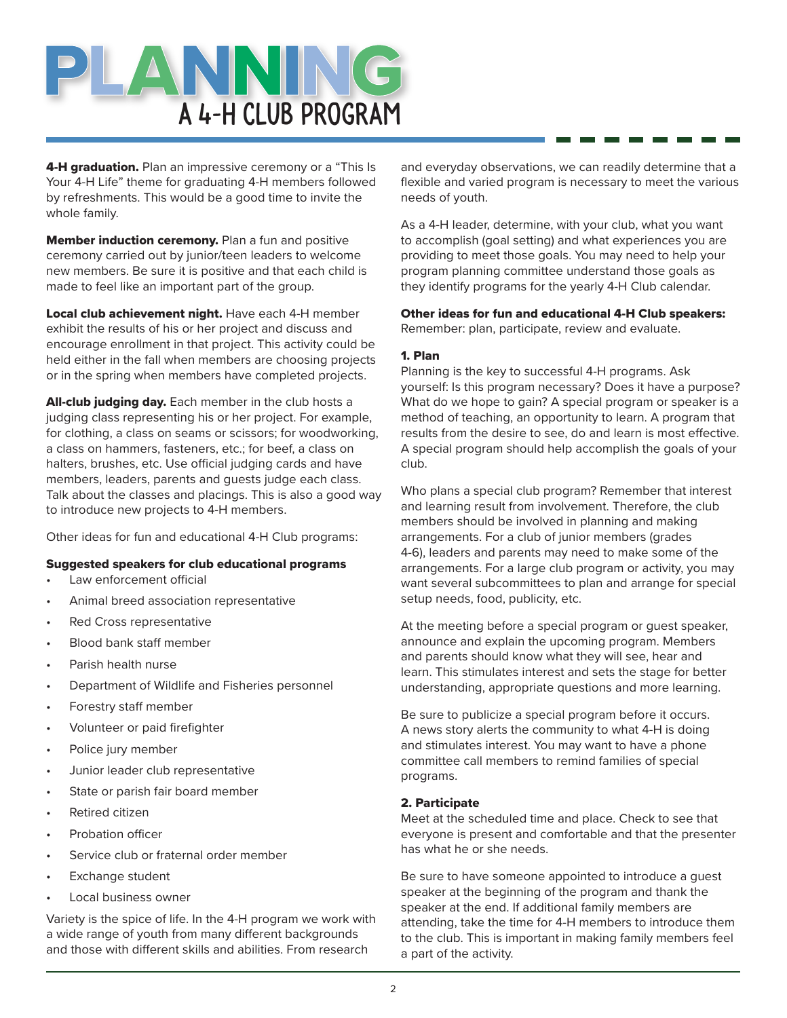

4-H graduation. Plan an impressive ceremony or a "This Is Your 4-H Life" theme for graduating 4-H members followed by refreshments. This would be a good time to invite the whole family.

**Member induction ceremony.** Plan a fun and positive ceremony carried out by junior/teen leaders to welcome new members. Be sure it is positive and that each child is made to feel like an important part of the group.

Local club achievement night. Have each 4-H member exhibit the results of his or her project and discuss and encourage enrollment in that project. This activity could be held either in the fall when members are choosing projects or in the spring when members have completed projects.

All-club judging day. Each member in the club hosts a judging class representing his or her project. For example, for clothing, a class on seams or scissors; for woodworking, a class on hammers, fasteners, etc.; for beef, a class on halters, brushes, etc. Use official judging cards and have members, leaders, parents and guests judge each class. Talk about the classes and placings. This is also a good way to introduce new projects to 4-H members.

Other ideas for fun and educational 4-H Club programs:

#### Suggested speakers for club educational programs

- Law enforcement official
- Animal breed association representative
- Red Cross representative
- Blood bank staff member
- Parish health nurse
- Department of Wildlife and Fisheries personnel
- Forestry staff member
- Volunteer or paid firefighter
- Police jury member
- Junior leader club representative
- State or parish fair board member
- Retired citizen
- Probation officer
- Service club or fraternal order member
- Exchange student
- Local business owner

Variety is the spice of life. In the 4-H program we work with a wide range of youth from many different backgrounds and those with different skills and abilities. From research

and everyday observations, we can readily determine that a flexible and varied program is necessary to meet the various needs of youth.

As a 4-H leader, determine, with your club, what you want to accomplish (goal setting) and what experiences you are providing to meet those goals. You may need to help your program planning committee understand those goals as they identify programs for the yearly 4-H Club calendar.

#### Other ideas for fun and educational 4-H Club speakers:

Remember: plan, participate, review and evaluate.

#### 1. Plan

Planning is the key to successful 4-H programs. Ask yourself: Is this program necessary? Does it have a purpose? What do we hope to gain? A special program or speaker is a method of teaching, an opportunity to learn. A program that results from the desire to see, do and learn is most effective. A special program should help accomplish the goals of your club.

Who plans a special club program? Remember that interest and learning result from involvement. Therefore, the club members should be involved in planning and making arrangements. For a club of junior members (grades 4-6), leaders and parents may need to make some of the arrangements. For a large club program or activity, you may want several subcommittees to plan and arrange for special setup needs, food, publicity, etc.

At the meeting before a special program or guest speaker, announce and explain the upcoming program. Members and parents should know what they will see, hear and learn. This stimulates interest and sets the stage for better understanding, appropriate questions and more learning.

Be sure to publicize a special program before it occurs. A news story alerts the community to what 4-H is doing and stimulates interest. You may want to have a phone committee call members to remind families of special programs.

#### 2. Participate

Meet at the scheduled time and place. Check to see that everyone is present and comfortable and that the presenter has what he or she needs.

Be sure to have someone appointed to introduce a guest speaker at the beginning of the program and thank the speaker at the end. If additional family members are attending, take the time for 4-H members to introduce them to the club. This is important in making family members feel a part of the activity.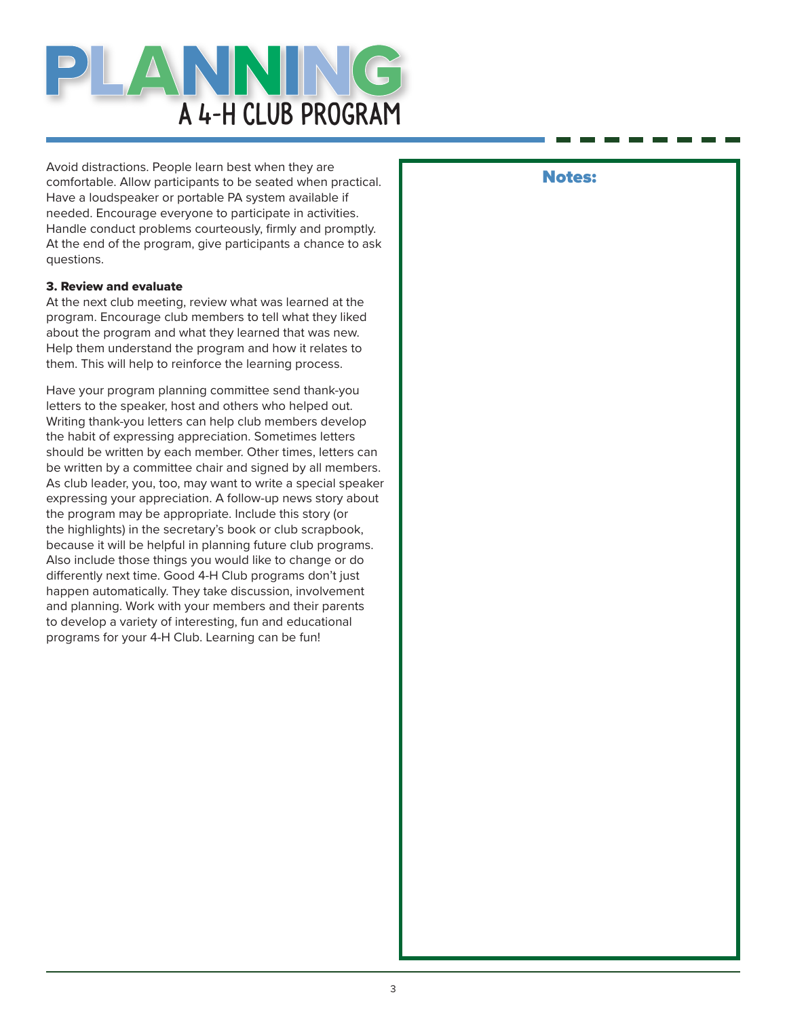

Avoid distractions. People learn best when they are comfortable. Allow participants to be seated when practical. Have a loudspeaker or portable PA system available if needed. Encourage everyone to participate in activities. Handle conduct problems courteously, firmly and promptly. At the end of the program, give participants a chance to ask questions.

#### 3. Review and evaluate

At the next club meeting, review what was learned at the program. Encourage club members to tell what they liked about the program and what they learned that was new. Help them understand the program and how it relates to them. This will help to reinforce the learning process.

Have your program planning committee send thank-you letters to the speaker, host and others who helped out. Writing thank-you letters can help club members develop the habit of expressing appreciation. Sometimes letters should be written by each member. Other times, letters can be written by a committee chair and signed by all members. As club leader, you, too, may want to write a special speaker expressing your appreciation. A follow-up news story about the program may be appropriate. Include this story (or the highlights) in the secretary's book or club scrapbook, because it will be helpful in planning future club programs. Also include those things you would like to change or do differently next time. Good 4-H Club programs don't just happen automatically. They take discussion, involvement and planning. Work with your members and their parents to develop a variety of interesting, fun and educational programs for your 4-H Club. Learning can be fun!

#### Notes: